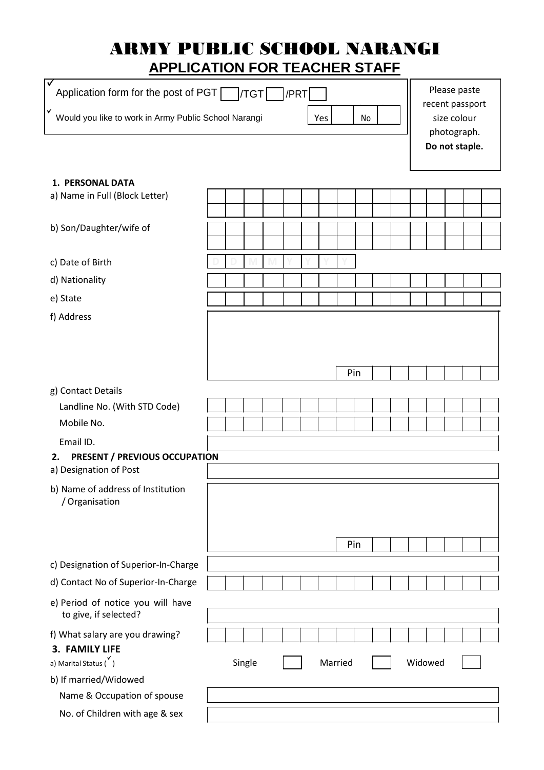# ARMY PUBLIC SCHOOL NARANGI **APPLICATION FOR TEACHER STAFF**

| ✓<br>Application form for the post of PGT                              |  |  | <b>/TGT</b> |  | /PRT                                          |         |     |  |         |  |  | Please paste   |  |
|------------------------------------------------------------------------|--|--|-------------|--|-----------------------------------------------|---------|-----|--|---------|--|--|----------------|--|
| v<br>Would you like to work in Army Public School Narangi<br>Yes<br>No |  |  |             |  | recent passport<br>size colour<br>photograph. |         |     |  |         |  |  |                |  |
|                                                                        |  |  |             |  |                                               |         |     |  |         |  |  | Do not staple. |  |
| <b>1. PERSONAL DATA</b>                                                |  |  |             |  |                                               |         |     |  |         |  |  |                |  |
| a) Name in Full (Block Letter)                                         |  |  |             |  |                                               |         |     |  |         |  |  |                |  |
| b) Son/Daughter/wife of                                                |  |  |             |  |                                               |         |     |  |         |  |  |                |  |
| c) Date of Birth                                                       |  |  |             |  |                                               |         |     |  |         |  |  |                |  |
| d) Nationality                                                         |  |  |             |  |                                               |         |     |  |         |  |  |                |  |
| e) State                                                               |  |  |             |  |                                               |         |     |  |         |  |  |                |  |
| f) Address                                                             |  |  |             |  |                                               |         |     |  |         |  |  |                |  |
|                                                                        |  |  |             |  |                                               |         |     |  |         |  |  |                |  |
|                                                                        |  |  |             |  |                                               |         |     |  |         |  |  |                |  |
|                                                                        |  |  |             |  |                                               |         | Pin |  |         |  |  |                |  |
| g) Contact Details                                                     |  |  |             |  |                                               |         |     |  |         |  |  |                |  |
| Landline No. (With STD Code)                                           |  |  |             |  |                                               |         |     |  |         |  |  |                |  |
| Mobile No.                                                             |  |  |             |  |                                               |         |     |  |         |  |  |                |  |
| Email ID.                                                              |  |  |             |  |                                               |         |     |  |         |  |  |                |  |
| <b>PRESENT / PREVIOUS OCCUPATION</b><br>2.<br>a) Designation of Post   |  |  |             |  |                                               |         |     |  |         |  |  |                |  |
| b) Name of address of Institution<br>/ Organisation                    |  |  |             |  |                                               |         |     |  |         |  |  |                |  |
|                                                                        |  |  |             |  |                                               |         |     |  |         |  |  |                |  |
|                                                                        |  |  |             |  |                                               |         |     |  |         |  |  |                |  |
|                                                                        |  |  |             |  |                                               |         | Pin |  |         |  |  |                |  |
| c) Designation of Superior-In-Charge                                   |  |  |             |  |                                               |         |     |  |         |  |  |                |  |
| d) Contact No of Superior-In-Charge                                    |  |  |             |  |                                               |         |     |  |         |  |  |                |  |
| e) Period of notice you will have<br>to give, if selected?             |  |  |             |  |                                               |         |     |  |         |  |  |                |  |
| f) What salary are you drawing?                                        |  |  |             |  |                                               |         |     |  |         |  |  |                |  |
| 3. FAMILY LIFE                                                         |  |  |             |  |                                               |         |     |  |         |  |  |                |  |
| a) Marital Status (                                                    |  |  | Single      |  |                                               | Married |     |  | Widowed |  |  |                |  |
| b) If married/Widowed                                                  |  |  |             |  |                                               |         |     |  |         |  |  |                |  |
| Name & Occupation of spouse                                            |  |  |             |  |                                               |         |     |  |         |  |  |                |  |
| No. of Children with age & sex                                         |  |  |             |  |                                               |         |     |  |         |  |  |                |  |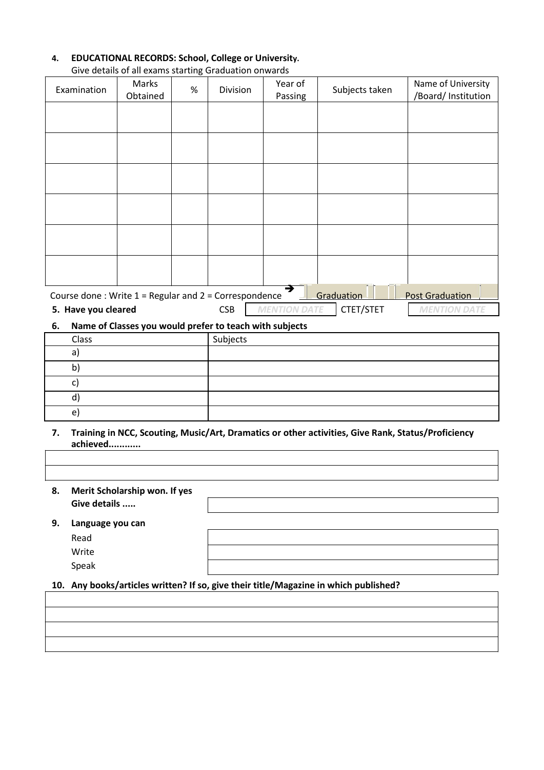| 4. | <b>EDUCATIONAL RECORDS: School, College or University.</b> |
|----|------------------------------------------------------------|
|----|------------------------------------------------------------|

|                                                           | Once actums or an exams starting Organization Onwards                          |   |          |         |                |                        |
|-----------------------------------------------------------|--------------------------------------------------------------------------------|---|----------|---------|----------------|------------------------|
|                                                           | Marks                                                                          |   |          | Year of |                | Name of University     |
| Examination                                               | Obtained                                                                       | % | Division | Passing | Subjects taken | /Board/ Institution    |
|                                                           |                                                                                |   |          |         |                |                        |
|                                                           |                                                                                |   |          |         |                |                        |
|                                                           |                                                                                |   |          |         |                |                        |
|                                                           |                                                                                |   |          |         |                |                        |
|                                                           |                                                                                |   |          |         |                |                        |
|                                                           |                                                                                |   |          |         |                |                        |
|                                                           |                                                                                |   |          |         |                |                        |
|                                                           |                                                                                |   |          |         |                |                        |
|                                                           |                                                                                |   |          |         |                |                        |
|                                                           |                                                                                |   |          |         |                |                        |
|                                                           |                                                                                |   |          |         |                |                        |
|                                                           |                                                                                |   |          |         |                |                        |
|                                                           |                                                                                |   |          |         |                |                        |
|                                                           |                                                                                |   |          |         |                |                        |
|                                                           |                                                                                |   |          | ∍       |                |                        |
| Course done: Write $1$ = Regular and $2$ = Correspondence |                                                                                |   |          |         | Graduation     | <b>Post Graduation</b> |
|                                                           | CTET/STET<br>5. Have you cleared<br><b>CSB</b><br>MENTION DATE<br>MENTION DATE |   |          |         |                |                        |

Give details of all exams starting Graduation onwards

**6. Name of Classes you would prefer to teach with subjects** 

| Class | Subjects |  |
|-------|----------|--|
| a     |          |  |
| n     |          |  |
|       |          |  |
|       |          |  |
| e     |          |  |

- **7. Training in NCC, Scouting, Music/Art, Dramatics or other activities, Give Rank, Status/Proficiency achieved............**
- **8. Merit Scholarship won. If yes Give details .....**
- **9. Language you can**

Read Write Speak

**10. Any books/articles written? If so, give their title/Magazine in which published?**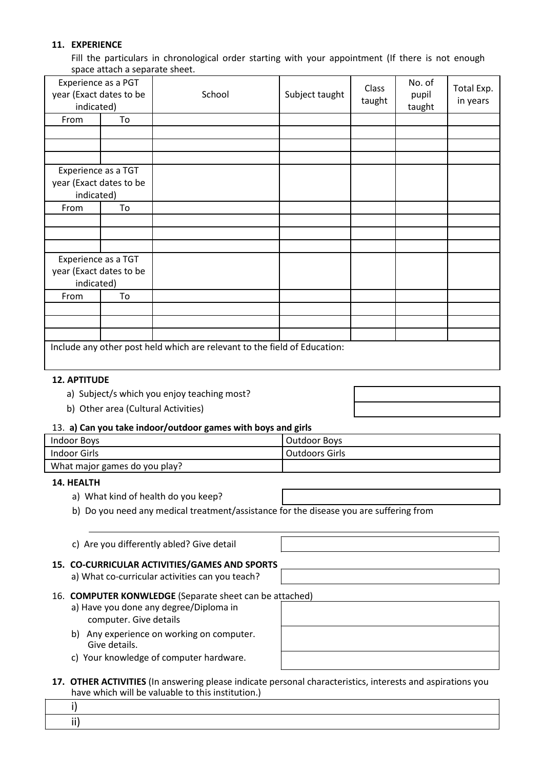# **11. EXPERIENCE**

Fill the particulars in chronological order starting with your appointment (If there is not enough space attach a separate sheet.

| Experience as a PGT<br>year (Exact dates to be<br>indicated) |    | School                                                                    | Subject taught | Class<br>taught | No. of<br>pupil<br>taught | Total Exp.<br>in years |
|--------------------------------------------------------------|----|---------------------------------------------------------------------------|----------------|-----------------|---------------------------|------------------------|
| From                                                         | To |                                                                           |                |                 |                           |                        |
|                                                              |    |                                                                           |                |                 |                           |                        |
|                                                              |    |                                                                           |                |                 |                           |                        |
|                                                              |    |                                                                           |                |                 |                           |                        |
| Experience as a TGT<br>year (Exact dates to be<br>indicated) |    |                                                                           |                |                 |                           |                        |
| From                                                         | To |                                                                           |                |                 |                           |                        |
|                                                              |    |                                                                           |                |                 |                           |                        |
|                                                              |    |                                                                           |                |                 |                           |                        |
|                                                              |    |                                                                           |                |                 |                           |                        |
| Experience as a TGT<br>year (Exact dates to be<br>indicated) |    |                                                                           |                |                 |                           |                        |
| From                                                         | To |                                                                           |                |                 |                           |                        |
|                                                              |    |                                                                           |                |                 |                           |                        |
|                                                              |    |                                                                           |                |                 |                           |                        |
|                                                              |    |                                                                           |                |                 |                           |                        |
|                                                              |    | Include any other post held which are relevant to the field of Education: |                |                 |                           |                        |

#### **12. APTITUDE**

- a) Subject/s which you enjoy teaching most?
- b) Other area (Cultural Activities)

#### 13. **a) Can you take indoor/outdoor games with boys and girls**

| Indoor Boys                   | Outdoor Boys   |
|-------------------------------|----------------|
| Indoor Girls                  | Outdoors Girls |
| What major games do you play? |                |

#### **14. HEALTH**

- a) What kind of health do you keep?
- b) Do you need any medical treatment/assistance for the disease you are suffering from

|  |  |  | c) Are you differently abled? Give detail |
|--|--|--|-------------------------------------------|
|--|--|--|-------------------------------------------|

## **15. CO-CURRICULAR ACTIVITIES/GAMES AND SPORTS**

a) What co-curricular activities can you teach?

## 16. **COMPUTER KONWLEDGE** (Separate sheet can be attached)

- a) Have you done any degree/Diploma in computer. Give details
- b) Any experience on working on computer. Give details.
- c) Your knowledge of computer hardware.

| 17. OTHER ACTIVITIES (In answering please indicate personal characteristics, interests and aspirations you |
|------------------------------------------------------------------------------------------------------------|
| have which will be valuable to this institution.)                                                          |

i) ii)